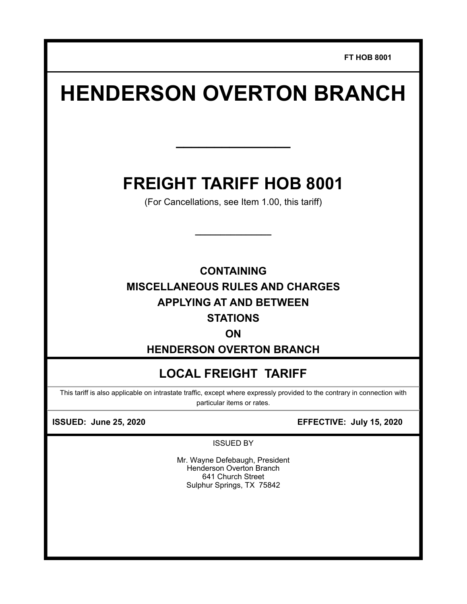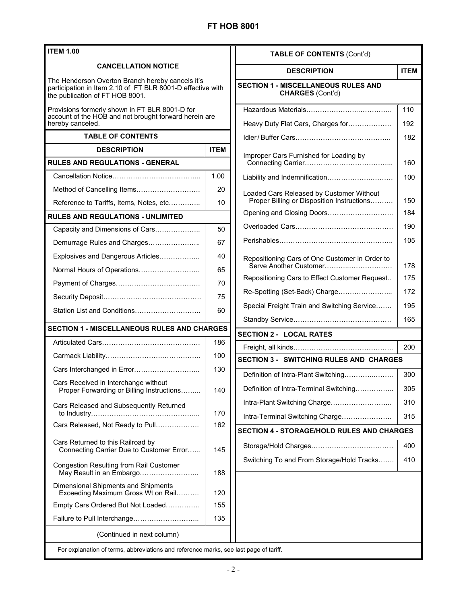| <b>ITEM 1.00</b>                                                                                                                                  |             | <b>TABLE OF CONTENTS (Cont'd)</b>                                                                          |            |
|---------------------------------------------------------------------------------------------------------------------------------------------------|-------------|------------------------------------------------------------------------------------------------------------|------------|
| <b>CANCELLATION NOTICE</b>                                                                                                                        |             |                                                                                                            |            |
| The Henderson Overton Branch hereby cancels it's<br>participation in Item 2.10 of FT BLR 8001-D effective with<br>the publication of FT HOB 8001. |             | <b>ITEM</b><br><b>DESCRIPTION</b><br><b>SECTION 1 - MISCELLANEOUS RULES AND</b><br><b>CHARGES (Cont'd)</b> |            |
| Provisions formerly shown in FT BLR 8001-D for<br>account of the HOB and not brought forward herein are<br>hereby canceled.                       |             | Heavy Duty Flat Cars, Charges for                                                                          | 110<br>192 |
| <b>TABLE OF CONTENTS</b>                                                                                                                          |             |                                                                                                            | 182        |
| <b>DESCRIPTION</b>                                                                                                                                | <b>ITEM</b> | Improper Cars Furnished for Loading by                                                                     |            |
| <b>RULES AND REGULATIONS - GENERAL</b>                                                                                                            |             |                                                                                                            | 160        |
|                                                                                                                                                   | 1.00        | Liability and Indemnification                                                                              | 100        |
|                                                                                                                                                   | 20          | Loaded Cars Released by Customer Without                                                                   |            |
| Reference to Tariffs, Items, Notes, etc                                                                                                           | 10          | Proper Billing or Disposition Instructions                                                                 | 150        |
| <b>RULES AND REGULATIONS - UNLIMITED</b>                                                                                                          |             | Opening and Closing Doors                                                                                  | 184        |
| Capacity and Dimensions of Cars                                                                                                                   | 50          |                                                                                                            | 190        |
| Demurrage Rules and Charges                                                                                                                       | 67          |                                                                                                            | 105        |
| Explosives and Dangerous Articles                                                                                                                 | 40          | Repositioning Cars of One Customer in Order to                                                             |            |
| Normal Hours of Operations                                                                                                                        | 65          | Serve Another Customer                                                                                     | 178        |
|                                                                                                                                                   | 70          | Repositioning Cars to Effect Customer Request                                                              | 175        |
|                                                                                                                                                   | 75          | Re-Spotting (Set-Back) Charge                                                                              | 172        |
| Station List and Conditions                                                                                                                       | 60          | Special Freight Train and Switching Service                                                                | 195        |
|                                                                                                                                                   |             |                                                                                                            | 165        |
| <b>SECTION 1 - MISCELLANEOUS RULES AND CHARGES</b>                                                                                                |             | <b>SECTION 2 - LOCAL RATES</b>                                                                             |            |
|                                                                                                                                                   | 186         |                                                                                                            | 200        |
|                                                                                                                                                   | 100         | <b>SECTION 3 - SWITCHING RULES AND CHARGES</b>                                                             |            |
| Cars Interchanged in Error                                                                                                                        | 130         | Definition of Intra-Plant Switching                                                                        | 300        |
| Cars Received in Interchange without<br>Proper Forwarding or Billing Instructions                                                                 | 140         | Definition of Intra-Terminal Switching                                                                     | 305        |
| Cars Released and Subsequently Returned                                                                                                           |             | Intra-Plant Switching Charge                                                                               | 310        |
|                                                                                                                                                   | 170         | Intra-Terminal Switching Charge                                                                            | 315        |
| Cars Released, Not Ready to Pull                                                                                                                  | 162         | <b>SECTION 4 - STORAGE/HOLD RULES AND CHARGES</b>                                                          |            |
| Cars Returned to this Railroad by<br>Connecting Carrier Due to Customer Error                                                                     | 145         |                                                                                                            | 400        |
|                                                                                                                                                   |             | Switching To and From Storage/Hold Tracks                                                                  | 410        |
| <b>Congestion Resulting from Rail Customer</b><br>May Result in an Embargo                                                                        | 188         |                                                                                                            |            |
| <b>Dimensional Shipments and Shipments</b><br>Exceeding Maximum Gross Wt on Rail                                                                  | 120         |                                                                                                            |            |
| Empty Cars Ordered But Not Loaded                                                                                                                 | 155         |                                                                                                            |            |
| Failure to Pull Interchange                                                                                                                       | 135         |                                                                                                            |            |
| (Continued in next column)                                                                                                                        |             |                                                                                                            |            |
| For explanation of terms, abbreviations and reference marks, see last page of tariff.                                                             |             |                                                                                                            |            |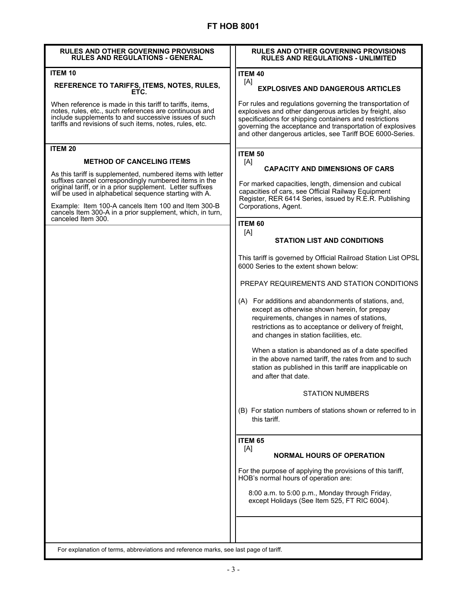| <b>RULES AND OTHER GOVERNING PROVISIONS</b><br><b>RULES AND REGULATIONS - GENERAL</b>                                                                                                                                                       | <b>RULES AND OTHER GOVERNING PROVISIONS</b><br><b>RULES AND REGULATIONS - UNLIMITED</b>                                                                                                                                                                                                                    |
|---------------------------------------------------------------------------------------------------------------------------------------------------------------------------------------------------------------------------------------------|------------------------------------------------------------------------------------------------------------------------------------------------------------------------------------------------------------------------------------------------------------------------------------------------------------|
| <b>ITEM 10</b>                                                                                                                                                                                                                              | <b>ITEM 40</b>                                                                                                                                                                                                                                                                                             |
| REFERENCE TO TARIFFS, ITEMS, NOTES, RULES,<br>FTC.                                                                                                                                                                                          | [A]<br><b>EXPLOSIVES AND DANGEROUS ARTICLES</b>                                                                                                                                                                                                                                                            |
| When reference is made in this tariff to tariffs, items,<br>notes, rules, etc., such references are continuous and<br>include supplements to and successive issues of such<br>tariffs and revisions of such items, notes, rules, etc.       | For rules and regulations governing the transportation of<br>explosives and other dangerous articles by freight, also<br>specifications for shipping containers and restrictions<br>governing the acceptance and transportation of explosives<br>and other dangerous articles, see Tariff BOE 6000-Series. |
| <b>ITEM 20</b>                                                                                                                                                                                                                              | <b>ITEM 50</b>                                                                                                                                                                                                                                                                                             |
| <b>METHOD OF CANCELING ITEMS</b>                                                                                                                                                                                                            | [A]                                                                                                                                                                                                                                                                                                        |
| As this tariff is supplemented, numbered items with letter<br>suffixes cancel correspondingly numbered items in the<br>original tariff, or in a prior supplement. Letter suffixes<br>will be used in alphabetical sequence starting with A. | <b>CAPACITY AND DIMENSIONS OF CARS</b><br>For marked capacities, length, dimension and cubical<br>capacities of cars, see Official Railway Equipment                                                                                                                                                       |
| Example: Item 100-A cancels Item 100 and Item 300-B<br>cancels Item 300-A in a prior supplement, which, in turn,                                                                                                                            | Register, RER 6414 Series, issued by R.E.R. Publishing<br>Corporations, Agent.                                                                                                                                                                                                                             |
| canceled Item 300.                                                                                                                                                                                                                          | <b>ITEM 60</b>                                                                                                                                                                                                                                                                                             |
|                                                                                                                                                                                                                                             | [A]                                                                                                                                                                                                                                                                                                        |
|                                                                                                                                                                                                                                             | <b>STATION LIST AND CONDITIONS</b>                                                                                                                                                                                                                                                                         |
|                                                                                                                                                                                                                                             | This tariff is governed by Official Railroad Station List OPSL<br>6000 Series to the extent shown below:                                                                                                                                                                                                   |
|                                                                                                                                                                                                                                             | PREPAY REQUIREMENTS AND STATION CONDITIONS                                                                                                                                                                                                                                                                 |
|                                                                                                                                                                                                                                             | (A) For additions and abandonments of stations, and,<br>except as otherwise shown herein, for prepay<br>requirements, changes in names of stations,<br>restrictions as to acceptance or delivery of freight,<br>and changes in station facilities, etc.                                                    |
|                                                                                                                                                                                                                                             | When a station is abandoned as of a date specified<br>in the above named tariff, the rates from and to such<br>station as published in this tariff are inapplicable on<br>and after that date.                                                                                                             |
|                                                                                                                                                                                                                                             | <b>STATION NUMBERS</b>                                                                                                                                                                                                                                                                                     |
|                                                                                                                                                                                                                                             | (B) For station numbers of stations shown or referred to in<br>this tariff.                                                                                                                                                                                                                                |
|                                                                                                                                                                                                                                             | <b>ITEM 65</b>                                                                                                                                                                                                                                                                                             |
|                                                                                                                                                                                                                                             | [A]<br><b>NORMAL HOURS OF OPERATION</b>                                                                                                                                                                                                                                                                    |
|                                                                                                                                                                                                                                             | For the purpose of applying the provisions of this tariff,<br>HOB's normal hours of operation are:                                                                                                                                                                                                         |
|                                                                                                                                                                                                                                             | 8:00 a.m. to 5:00 p.m., Monday through Friday,<br>except Holidays (See Item 525, FT RIC 6004).                                                                                                                                                                                                             |
|                                                                                                                                                                                                                                             |                                                                                                                                                                                                                                                                                                            |
| For explanation of terms, abbreviations and reference marks, see last page of tariff.                                                                                                                                                       |                                                                                                                                                                                                                                                                                                            |

I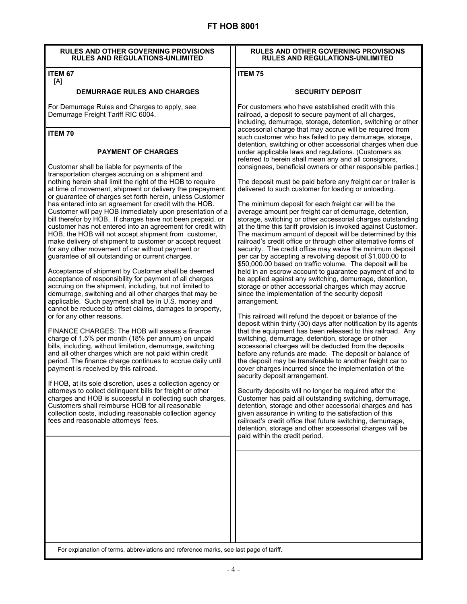### **RULES AND OTHER GOVERNING PROVISIONS RULES AND REGULATIONS-UNLIMITED**

#### **ITEM 67**  [A]

## **DEMURRAGE RULES AND CHARGES**

For Demurrage Rules and Charges to apply, see Demurrage Freight Tariff RIC 6004.

## **ITEM 70**

## **PAYMENT OF CHARGES**

Customer shall be liable for payments of the transportation charges accruing on a shipment and nothing herein shall limit the right of the HOB to require at time of movement, shipment or delivery the prepayment or guarantee of charges set forth herein, unless Customer has entered into an agreement for credit with the HOB. Customer will pay HOB immediately upon presentation of a bill therefor by HOB. If charges have not been prepaid, or customer has not entered into an agreement for credit with HOB, the HOB will not accept shipment from customer, make delivery of shipment to customer or accept request for any other movement of car without payment or guarantee of all outstanding or current charges.

Acceptance of shipment by Customer shall be deemed acceptance of responsibility for payment of all charges accruing on the shipment, including, but not limited to demurrage, switching and all other charges that may be applicable. Such payment shall be in U.S. money and cannot be reduced to offset claims, damages to property, or for any other reasons.

FINANCE CHARGES: The HOB will assess a finance charge of 1.5% per month (18% per annum) on unpaid bills, including, without limitation, demurrage, switching and all other charges which are not paid within credit period. The finance charge continues to accrue daily until payment is received by this railroad.

If HOB, at its sole discretion, uses a collection agency or attorneys to collect delinquent bills for freight or other charges and HOB is successful in collecting such charges, Customers shall reimburse HOB for all reasonable collection costs, including reasonable collection agency fees and reasonable attorneys' fees.

### **RULES AND OTHER GOVERNING PROVISIONS RULES AND REGULATIONS-UNLIMITED**

## **ITEM 75**

## **SECURITY DEPOSIT**

For customers who have established credit with this railroad, a deposit to secure payment of all charges, including, demurrage, storage, detention, switching or other accessorial charge that may accrue will be required from such customer who has failed to pay demurrage, storage, detention, switching or other accessorial charges when due under applicable laws and regulations. (Customers as referred to herein shall mean any and all consignors, consignees, beneficial owners or other responsible parties.)

The deposit must be paid before any freight car or trailer is delivered to such customer for loading or unloading.

The minimum deposit for each freight car will be the average amount per freight car of demurrage, detention, storage, switching or other accessorial charges outstanding at the time this tariff provision is invoked against Customer. The maximum amount of deposit will be determined by this railroad's credit office or through other alternative forms of security. The credit office may waive the minimum deposit per car by accepting a revolving deposit of \$1,000.00 to \$50,000.00 based on traffic volume. The deposit will be held in an escrow account to guarantee payment of and to be applied against any switching, demurrage, detention, storage or other accessorial charges which may accrue since the implementation of the security deposit arrangement.

This railroad will refund the deposit or balance of the deposit within thirty (30) days after notification by its agents that the equipment has been released to this railroad. Any switching, demurrage, detention, storage or other accessorial charges will be deducted from the deposits before any refunds are made. The deposit or balance of the deposit may be transferable to another freight car to cover charges incurred since the implementation of the security deposit arrangement.

Security deposits will no longer be required after the Customer has paid all outstanding switching, demurrage, detention, storage and other accessorial charges and has given assurance in writing to the satisfaction of this railroad's credit office that future switching, demurrage, detention, storage and other accessorial charges will be paid within the credit period.

For explanation of terms, abbreviations and reference marks, see last page of tariff.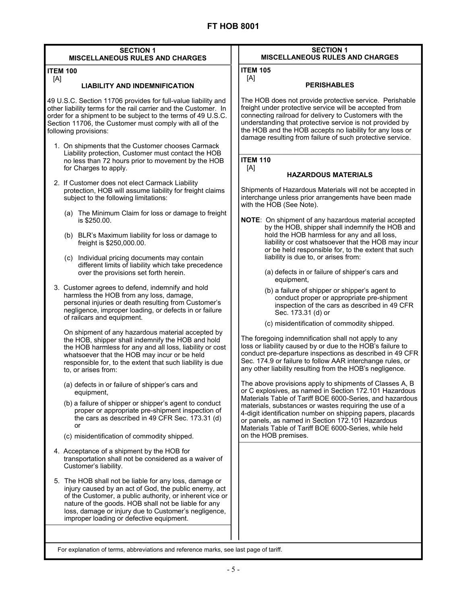| <b>ITEM 105</b><br>[A]<br><b>PERISHABLES</b><br>The HOB does not provide protective service. Perishable<br>freight under protective service will be accepted from<br>connecting railroad for delivery to Customers with the<br>understanding that protective service is not provided by<br>the HOB and the HOB accepts no liability for any loss or<br>damage resulting from failure of such protective service.<br><b>ITEM 110</b><br>[A]<br><b>HAZARDOUS MATERIALS</b>                                                                                                                                                                                                                                                                                                                                                                                                                                                                                                                                                                                                                                                                                                                                                                                                                                                                                                                 |
|------------------------------------------------------------------------------------------------------------------------------------------------------------------------------------------------------------------------------------------------------------------------------------------------------------------------------------------------------------------------------------------------------------------------------------------------------------------------------------------------------------------------------------------------------------------------------------------------------------------------------------------------------------------------------------------------------------------------------------------------------------------------------------------------------------------------------------------------------------------------------------------------------------------------------------------------------------------------------------------------------------------------------------------------------------------------------------------------------------------------------------------------------------------------------------------------------------------------------------------------------------------------------------------------------------------------------------------------------------------------------------------|
|                                                                                                                                                                                                                                                                                                                                                                                                                                                                                                                                                                                                                                                                                                                                                                                                                                                                                                                                                                                                                                                                                                                                                                                                                                                                                                                                                                                          |
|                                                                                                                                                                                                                                                                                                                                                                                                                                                                                                                                                                                                                                                                                                                                                                                                                                                                                                                                                                                                                                                                                                                                                                                                                                                                                                                                                                                          |
|                                                                                                                                                                                                                                                                                                                                                                                                                                                                                                                                                                                                                                                                                                                                                                                                                                                                                                                                                                                                                                                                                                                                                                                                                                                                                                                                                                                          |
|                                                                                                                                                                                                                                                                                                                                                                                                                                                                                                                                                                                                                                                                                                                                                                                                                                                                                                                                                                                                                                                                                                                                                                                                                                                                                                                                                                                          |
| Shipments of Hazardous Materials will not be accepted in<br>interchange unless prior arrangements have been made                                                                                                                                                                                                                                                                                                                                                                                                                                                                                                                                                                                                                                                                                                                                                                                                                                                                                                                                                                                                                                                                                                                                                                                                                                                                         |
| with the HOB (See Note).<br>NOTE: On shipment of any hazardous material accepted<br>by the HOB, shipper shall indemnify the HOB and<br>hold the HOB harmless for any and all loss,<br>liability or cost whatsoever that the HOB may incur<br>or be held responsible for, to the extent that such<br>liability is due to, or arises from:<br>(a) defects in or failure of shipper's cars and<br>equipment,<br>(b) a failure of shipper or shipper's agent to<br>conduct proper or appropriate pre-shipment<br>inspection of the cars as described in 49 CFR<br>Sec. 173.31 (d) or<br>(c) misidentification of commodity shipped.<br>The foregoing indemnification shall not apply to any<br>loss or liability caused by or due to the HOB's failure to<br>conduct pre-departure inspections as described in 49 CFR<br>Sec. 174.9 or failure to follow AAR interchange rules, or<br>any other liability resulting from the HOB's negligence.<br>The above provisions apply to shipments of Classes A, B<br>or C explosives, as named in Section 172.101 Hazardous<br>Materials Table of Tariff BOE 6000-Series, and hazardous<br>materials, substances or wastes requiring the use of a<br>4-digit identification number on shipping papers, placards<br>or panels, as named in Section 172.101 Hazardous<br>Materials Table of Tariff BOE 6000-Series, while held<br>on the HOB premises. |
|                                                                                                                                                                                                                                                                                                                                                                                                                                                                                                                                                                                                                                                                                                                                                                                                                                                                                                                                                                                                                                                                                                                                                                                                                                                                                                                                                                                          |

For explanation of terms, abbreviations and reference marks, see last page of tariff.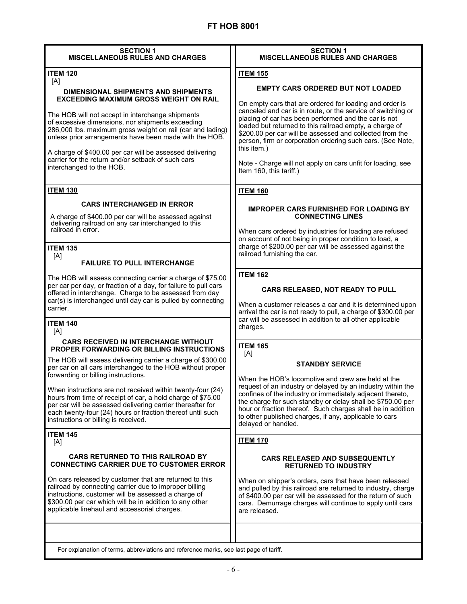| <b>SECTION 1</b><br><b>MISCELLANEOUS RULES AND CHARGES</b>                                                                                                                                                                                                                                    | <b>SECTION 1</b><br><b>MISCELLANEOUS RULES AND CHARGES</b>                                                                                                                                                                                                                                                                             |
|-----------------------------------------------------------------------------------------------------------------------------------------------------------------------------------------------------------------------------------------------------------------------------------------------|----------------------------------------------------------------------------------------------------------------------------------------------------------------------------------------------------------------------------------------------------------------------------------------------------------------------------------------|
| <b>ITEM 120</b>                                                                                                                                                                                                                                                                               | <b>ITEM 155</b>                                                                                                                                                                                                                                                                                                                        |
| [A]                                                                                                                                                                                                                                                                                           | <b>EMPTY CARS ORDERED BUT NOT LOADED</b>                                                                                                                                                                                                                                                                                               |
| DIMENSIONAL SHIPMENTS AND SHIPMENTS<br><b>EXCEEDING MAXIMUM GROSS WEIGHT ON RAIL</b>                                                                                                                                                                                                          | On empty cars that are ordered for loading and order is                                                                                                                                                                                                                                                                                |
| The HOB will not accept in interchange shipments<br>of excessive dimensions, nor shipments exceeding<br>286,000 lbs. maximum gross weight on rail (car and lading)<br>unless prior arrangements have been made with the HOB.                                                                  | canceled and car is in route, or the service of switching or<br>placing of car has been performed and the car is not<br>loaded but returned to this railroad empty, a charge of<br>\$200.00 per car will be assessed and collected from the<br>person, firm or corporation ordering such cars. (See Note,<br>this item.)               |
| A charge of \$400.00 per car will be assessed delivering<br>carrier for the return and/or setback of such cars<br>interchanged to the HOB.                                                                                                                                                    | Note - Charge will not apply on cars unfit for loading, see<br>Item 160, this tariff.)                                                                                                                                                                                                                                                 |
| <b>ITEM 130</b>                                                                                                                                                                                                                                                                               | <b>ITEM 160</b>                                                                                                                                                                                                                                                                                                                        |
| <b>CARS INTERCHANGED IN ERROR</b>                                                                                                                                                                                                                                                             |                                                                                                                                                                                                                                                                                                                                        |
| A charge of \$400.00 per car will be assessed against<br>delivering railroad on any car interchanged to this<br>railroad in error.                                                                                                                                                            | <b>IMPROPER CARS FURNISHED FOR LOADING BY</b><br><b>CONNECTING LINES</b><br>When cars ordered by industries for loading are refused<br>on account of not being in proper condition to load, a                                                                                                                                          |
| <b>ITEM 135</b>                                                                                                                                                                                                                                                                               | charge of \$200.00 per car will be assessed against the                                                                                                                                                                                                                                                                                |
| [A]                                                                                                                                                                                                                                                                                           | railroad furnishing the car.                                                                                                                                                                                                                                                                                                           |
| <b>FAILURE TO PULL INTERCHANGE</b>                                                                                                                                                                                                                                                            |                                                                                                                                                                                                                                                                                                                                        |
| The HOB will assess connecting carrier a charge of \$75.00<br>per car per day, or fraction of a day, for failure to pull cars<br>offered in interchange. Charge to be assessed from day<br>car(s) is interchanged until day car is pulled by connecting<br>carrier.                           | <b>ITEM 162</b><br>CARS RELEASED, NOT READY TO PULL<br>When a customer releases a car and it is determined upon<br>arrival the car is not ready to pull, a charge of \$300.00 per                                                                                                                                                      |
| <b>ITEM 140</b><br>[A]                                                                                                                                                                                                                                                                        | car will be assessed in addition to all other applicable<br>charges.                                                                                                                                                                                                                                                                   |
| <b>CARS RECEIVED IN INTERCHANGE WITHOUT</b><br><b>PROPER FORWARDING OR BILLING INSTRUCTIONS</b>                                                                                                                                                                                               | <b>ITEM 165</b><br>[A]                                                                                                                                                                                                                                                                                                                 |
| The HOB will assess delivering carrier a charge of \$300.00<br>per car on all cars interchanged to the HOB without proper<br>forwarding or billing instructions.                                                                                                                              | <b>STANDBY SERVICE</b><br>When the HOB's locomotive and crew are held at the                                                                                                                                                                                                                                                           |
| When instructions are not received within twenty-four (24)<br>hours from time of receipt of car, a hold charge of \$75.00<br>per car will be assessed delivering carrier thereafter for<br>each twenty-four (24) hours or fraction thereof until such<br>instructions or billing is received. | request of an industry or delayed by an industry within the<br>confines of the industry or immediately adjacent thereto,<br>the charge for such standby or delay shall be \$750.00 per<br>hour or fraction thereof. Such charges shall be in addition<br>to other published charges, if any, applicable to cars<br>delayed or handled. |
| <b>ITEM 145</b><br>[A]                                                                                                                                                                                                                                                                        | <b>ITEM 170</b>                                                                                                                                                                                                                                                                                                                        |
| <b>CARS RETURNED TO THIS RAILROAD BY</b><br><b>CONNECTING CARRIER DUE TO CUSTOMER ERROR</b>                                                                                                                                                                                                   | <b>CARS RELEASED AND SUBSEQUENTLY</b><br><b>RETURNED TO INDUSTRY</b>                                                                                                                                                                                                                                                                   |
| On cars released by customer that are returned to this<br>railroad by connecting carrier due to improper billing<br>instructions, customer will be assessed a charge of<br>\$300.00 per car which will be in addition to any other<br>applicable linehaul and accessorial charges.            | When on shipper's orders, cars that have been released<br>and pulled by this railroad are returned to industry, charge<br>of \$400.00 per car will be assessed for the return of such<br>cars. Demurrage charges will continue to apply until cars<br>are released.                                                                    |
|                                                                                                                                                                                                                                                                                               |                                                                                                                                                                                                                                                                                                                                        |

For explanation of terms, abbreviations and reference marks, see last page of tariff.

 $\overline{\phantom{a}}$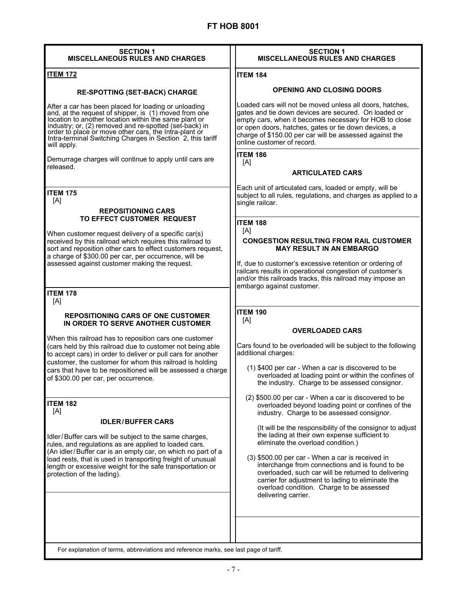| <b>SECTION 1</b><br><b>MISCELLANEOUS RULES AND CHARGES</b>                                                                                                                                                                                                                                                                                                             | <b>SECTION 1</b><br><b>MISCELLANEOUS RULES AND CHARGES</b>                                                                                                                                                                                                                                                                                                                                                                              |
|------------------------------------------------------------------------------------------------------------------------------------------------------------------------------------------------------------------------------------------------------------------------------------------------------------------------------------------------------------------------|-----------------------------------------------------------------------------------------------------------------------------------------------------------------------------------------------------------------------------------------------------------------------------------------------------------------------------------------------------------------------------------------------------------------------------------------|
| <b>ITEM 172</b>                                                                                                                                                                                                                                                                                                                                                        | <b>ITEM 184</b>                                                                                                                                                                                                                                                                                                                                                                                                                         |
| <b>RE-SPOTTING (SET-BACK) CHARGE</b>                                                                                                                                                                                                                                                                                                                                   | <b>OPENING AND CLOSING DOORS</b>                                                                                                                                                                                                                                                                                                                                                                                                        |
| After a car has been placed for loading or unloading<br>and, at the request of shipper, is (1) moved from one<br>location to another location within the same plant or<br>industry; or, (2) removed and re-spotted (set-back) in<br>order to place or move other cars, the Intra-plant or<br>Intra-terminal Switching Charges in Section 2, this tariff<br>will apply. | Loaded cars will not be moved unless all doors, hatches,<br>gates and tie down devices are secured. On loaded or<br>empty cars, when it becomes necessary for HOB to close<br>or open doors, hatches, gates or tie down devices, a<br>charge of \$150.00 per car will be assessed against the<br>online customer of record.                                                                                                             |
| Demurrage charges will continue to apply until cars are<br>released.                                                                                                                                                                                                                                                                                                   | <b>ITEM 186</b><br>[A]<br><b>ARTICULATED CARS</b>                                                                                                                                                                                                                                                                                                                                                                                       |
| <b>ITEM 175</b><br>[A]                                                                                                                                                                                                                                                                                                                                                 | Each unit of articulated cars, loaded or empty, will be<br>subject to all rules, regulations, and charges as applied to a<br>single railcar.                                                                                                                                                                                                                                                                                            |
| <b>REPOSITIONING CARS</b><br>TO EFFECT CUSTOMER REQUEST<br>When customer request delivery of a specific car(s)<br>received by this railroad which requires this railroad to<br>sort and reposition other cars to effect customers request,<br>a charge of \$300.00 per car, per occurrence, will be<br>assessed against customer making the request.                   | <b>ITEM 188</b><br>[A]<br><b>CONGESTION RESULTING FROM RAIL CUSTOMER</b><br><b>MAY RESULT IN AN EMBARGO</b><br>If, due to customer's excessive retention or ordering of<br>railcars results in operational congestion of customer's                                                                                                                                                                                                     |
| <b>ITEM 178</b><br>[A]                                                                                                                                                                                                                                                                                                                                                 | and/or this railroads tracks, this railroad may impose an<br>embargo against customer.                                                                                                                                                                                                                                                                                                                                                  |
| <b>REPOSITIONING CARS OF ONE CUSTOMER</b><br>IN ORDER TO SERVE ANOTHER CUSTOMER                                                                                                                                                                                                                                                                                        | <b>ITEM 190</b><br>[A]                                                                                                                                                                                                                                                                                                                                                                                                                  |
| When this railroad has to reposition cars one customer<br>(cars held by this railroad due to customer not being able<br>to accept cars) in order to deliver or pull cars for another<br>customer, the customer for whom this railroad is holding<br>cars that have to be repositioned will be assessed a charge<br>of \$300.00 per car, per occurrence.                | <b>OVERLOADED CARS</b><br>Cars found to be overloaded will be subject to the following<br>additional charges:<br>(1) \$400 per car - When a car is discovered to be<br>overloaded at loading point or within the confines of<br>the industry. Charge to be assessed consignor.                                                                                                                                                          |
| <b>ITEM 182</b><br>[A]<br><b>IDLER/BUFFER CARS</b>                                                                                                                                                                                                                                                                                                                     | (2) \$500.00 per car - When a car is discovered to be<br>overloaded beyond loading point or confines of the<br>industry. Charge to be assessed consignor.                                                                                                                                                                                                                                                                               |
| Idler/Buffer cars will be subject to the same charges,<br>rules, and regulations as are applied to loaded cars.<br>(An idler/Buffer car is an empty car, on which no part of a<br>load rests, that is used in transporting freight of unusual<br>length or excessive weight for the safe transportation or<br>protection of the lading).                               | (It will be the responsibility of the consignor to adjust<br>the lading at their own expense sufficient to<br>eliminate the overload condition.)<br>(3) \$500.00 per car - When a car is received in<br>interchange from connections and is found to be<br>overloaded, such car will be returned to delivering<br>carrier for adjustment to lading to eliminate the<br>overload condition. Charge to be assessed<br>delivering carrier. |
| For explanation of terms, abbreviations and reference marks, see last page of tariff.                                                                                                                                                                                                                                                                                  |                                                                                                                                                                                                                                                                                                                                                                                                                                         |
|                                                                                                                                                                                                                                                                                                                                                                        |                                                                                                                                                                                                                                                                                                                                                                                                                                         |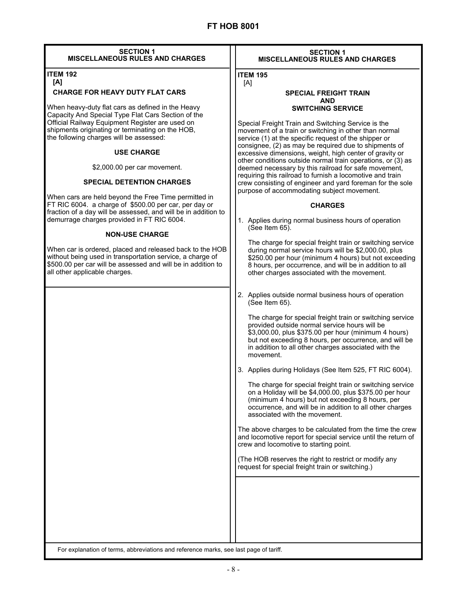| <b>SECTION 1</b>                       |  |  |
|----------------------------------------|--|--|
| <b>MISCELLANEOUS RULES AND CHARGES</b> |  |  |

#### **ITEM 192 [A]**

## **CHARGE FOR HEAVY DUTY FLAT CARS**

When heavy-duty flat cars as defined in the Heavy Capacity And Special Type Flat Cars Section of the Official Railway Equipment Register are used on shipments originating or terminating on the HOB, the following charges will be assessed:

### **USE CHARGE**

\$2,000.00 per car movement.

### **SPECIAL DETENTION CHARGES**

When cars are held beyond the Free Time permitted in FT RIC 6004. a charge of \$500.00 per car, per day or fraction of a day will be assessed, and will be in addition to demurrage charges provided in FT RIC 6004.

### **NON-USE CHARGE**

When car is ordered, placed and released back to the HOB without being used in transportation service, a charge of \$500.00 per car will be assessed and will be in addition to all other applicable charges.

#### **SECTION 1 MISCELLANEOUS RULES AND CHARGES**

#### **ITEM 195**  [A]

#### **SPECIAL FREIGHT TRAIN AND SWITCHING SERVICE**

Special Freight Train and Switching Service is the movement of a train or switching in other than normal service (1) at the specific request of the shipper or consignee, (2) as may be required due to shipments of excessive dimensions, weight, high center of gravity or other conditions outside normal train operations, or (3) as deemed necessary by this railroad for safe movement, requiring this railroad to furnish a locomotive and train crew consisting of engineer and yard foreman for the sole purpose of accommodating subject movement.

### **CHARGES**

1. Applies during normal business hours of operation (See Item 65).

The charge for special freight train or switching service during normal service hours will be \$2,000.00, plus \$250.00 per hour (minimum 4 hours) but not exceeding 8 hours, per occurrence, and will be in addition to all other charges associated with the movement.

2. Applies outside normal business hours of operation (See Item 65).

 The charge for special freight train or switching service provided outside normal service hours will be \$3,000.00, plus \$375.00 per hour (minimum 4 hours) but not exceeding 8 hours, per occurrence, and will be in addition to all other charges associated with the movement.

3. Applies during Holidays (See Item 525, FT RIC 6004).

The charge for special freight train or switching service on a Holiday will be \$4,000.00, plus \$375.00 per hour (minimum 4 hours) but not exceeding 8 hours, per occurrence, and will be in addition to all other charges associated with the movement.

The above charges to be calculated from the time the crew and locomotive report for special service until the return of crew and locomotive to starting point.

(The HOB reserves the right to restrict or modify any request for special freight train or switching.)

For explanation of terms, abbreviations and reference marks, see last page of tariff.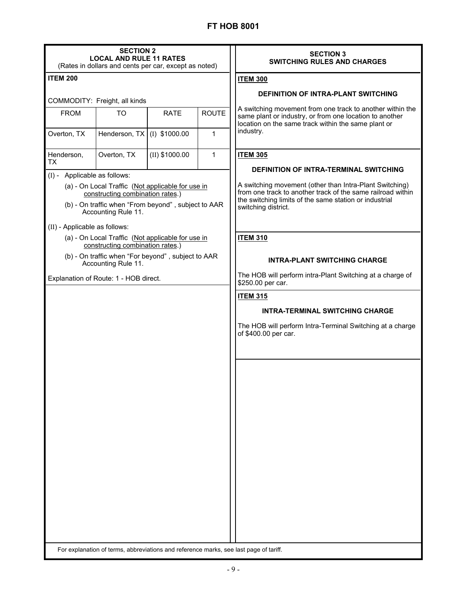| <b>SECTION 2</b><br><b>LOCAL AND RULE 11 RATES</b><br>(Rates in dollars and cents per car, except as noted) |                                                                                       |                  | <b>SECTION 3</b><br><b>SWITCHING RULES AND CHARGES</b> |                                                                                                                                                                                  |
|-------------------------------------------------------------------------------------------------------------|---------------------------------------------------------------------------------------|------------------|--------------------------------------------------------|----------------------------------------------------------------------------------------------------------------------------------------------------------------------------------|
| <b>ITEM 200</b>                                                                                             |                                                                                       |                  |                                                        | <b>ITEM 300</b>                                                                                                                                                                  |
|                                                                                                             |                                                                                       |                  |                                                        | <b>DEFINITION OF INTRA-PLANT SWITCHING</b>                                                                                                                                       |
| <b>FROM</b>                                                                                                 | COMMODITY: Freight, all kinds<br><b>TO</b>                                            | <b>RATE</b>      | <b>ROUTE</b>                                           | A switching movement from one track to another within the                                                                                                                        |
|                                                                                                             |                                                                                       |                  |                                                        | same plant or industry, or from one location to another<br>location on the same track within the same plant or                                                                   |
| Overton, TX                                                                                                 | Henderson, TX (I) \$1000.00                                                           |                  | 1                                                      | industry.                                                                                                                                                                        |
| Henderson,<br><b>TX</b>                                                                                     | Overton, TX                                                                           | $(II)$ \$1000.00 | $\mathbf{1}$                                           | <b>ITEM 305</b>                                                                                                                                                                  |
| (I) - Applicable as follows:                                                                                |                                                                                       |                  |                                                        | <b>DEFINITION OF INTRA-TERMINAL SWITCHING</b>                                                                                                                                    |
| (a) - On Local Traffic (Not applicable for use in<br>constructing combination rates.)                       |                                                                                       |                  |                                                        | A switching movement (other than Intra-Plant Switching)<br>from one track to another track of the same railroad within<br>the switching limits of the same station or industrial |
| (b) - On traffic when "From beyond", subject to AAR<br>Accounting Rule 11.                                  |                                                                                       |                  |                                                        | switching district.                                                                                                                                                              |
| (II) - Applicable as follows:                                                                               |                                                                                       |                  |                                                        |                                                                                                                                                                                  |
|                                                                                                             | (a) - On Local Traffic (Not applicable for use in<br>constructing combination rates.) |                  |                                                        | <b>ITEM 310</b>                                                                                                                                                                  |
| (b) - On traffic when "For beyond", subject to AAR<br>Accounting Rule 11.                                   |                                                                                       |                  |                                                        | <b>INTRA-PLANT SWITCHING CHARGE</b>                                                                                                                                              |
|                                                                                                             | Explanation of Route: 1 - HOB direct.                                                 |                  |                                                        | The HOB will perform intra-Plant Switching at a charge of<br>\$250.00 per car.                                                                                                   |
|                                                                                                             |                                                                                       |                  |                                                        | <b>ITEM 315</b>                                                                                                                                                                  |
|                                                                                                             |                                                                                       |                  |                                                        | <b>INTRA-TERMINAL SWITCHING CHARGE</b>                                                                                                                                           |
|                                                                                                             |                                                                                       |                  |                                                        | The HOB will perform Intra-Terminal Switching at a charge<br>of \$400.00 per car.                                                                                                |
|                                                                                                             |                                                                                       |                  |                                                        |                                                                                                                                                                                  |
|                                                                                                             |                                                                                       |                  |                                                        |                                                                                                                                                                                  |
|                                                                                                             |                                                                                       |                  |                                                        |                                                                                                                                                                                  |
|                                                                                                             |                                                                                       |                  |                                                        |                                                                                                                                                                                  |
|                                                                                                             |                                                                                       |                  |                                                        |                                                                                                                                                                                  |
|                                                                                                             |                                                                                       |                  |                                                        |                                                                                                                                                                                  |
|                                                                                                             |                                                                                       |                  |                                                        |                                                                                                                                                                                  |
|                                                                                                             |                                                                                       |                  |                                                        |                                                                                                                                                                                  |
|                                                                                                             |                                                                                       |                  |                                                        |                                                                                                                                                                                  |
|                                                                                                             |                                                                                       |                  |                                                        |                                                                                                                                                                                  |
|                                                                                                             |                                                                                       |                  |                                                        |                                                                                                                                                                                  |
| For explanation of terms, abbreviations and reference marks, see last page of tariff.                       |                                                                                       |                  |                                                        |                                                                                                                                                                                  |